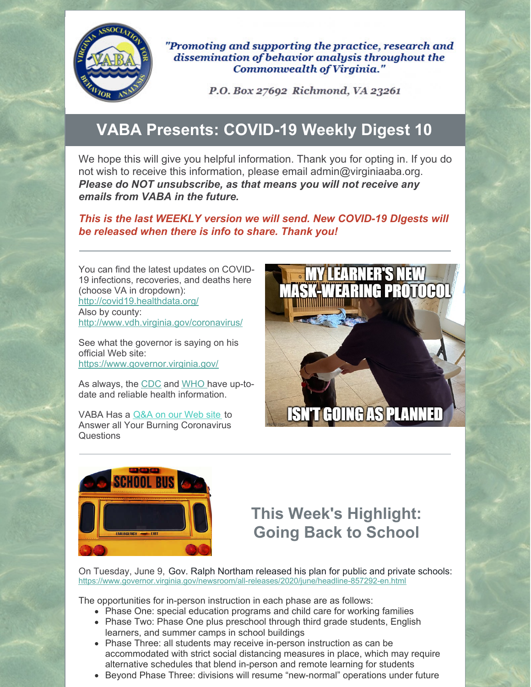

"Promoting and supporting the practice, research and dissemination of behavior analysis throughout the **Commonwealth of Virginia."** 

P.O. Box 27692 Richmond, VA 23261

# **VABA Presents: COVID-19 Weekly Digest 10**

We hope this will give you helpful information. Thank you for opting in. If you do not wish to receive this information, please email admin@virginiaaba.org. *Please do NOT unsubscribe, as that means you will not receive any emails from VABA in the future.*

*This is the last WEEKLY version we will send. New COVID-19 DIgests will be released when there is info to share. Thank you!*

You can find the latest updates on COVID-19 infections, recoveries, and deaths here (choose VA in dropdown): <http://covid19.healthdata.org/> Also by county: <http://www.vdh.virginia.gov/coronavirus/>

See what the governor is saying on his official Web site: <https://www.governor.virginia.gov/>

As always, the [CDC](https://www.cdc.gov/coronavirus/2019-nCoV/index.html) and [WHO](https://www.who.int/emergencies/diseases/novel-coronavirus-2019) have up-todate and reliable health information.

VABA Has a [Q&A](https://www.virginiaaba.org/information-on-covid-19/) on our Web site to Answer all Your Burning Coronavirus **Questions** 





# **This Week's Highlight: Going Back to School**

On Tuesday, June 9, Gov. Ralph Northam released his plan for public and private schools: <https://www.governor.virginia.gov/newsroom/all-releases/2020/june/headline-857292-en.html>

The opportunities for in-person instruction in each phase are as follows:

- Phase One: special education programs and child care for working families
- Phase Two: Phase One plus preschool through third grade students, English learners, and summer camps in school buildings
- Phase Three: all students may receive in-person instruction as can be accommodated with strict social distancing measures in place, which may require alternative schedules that blend in-person and remote learning for students
- Beyond Phase Three: divisions will resume "new-normal" operations under future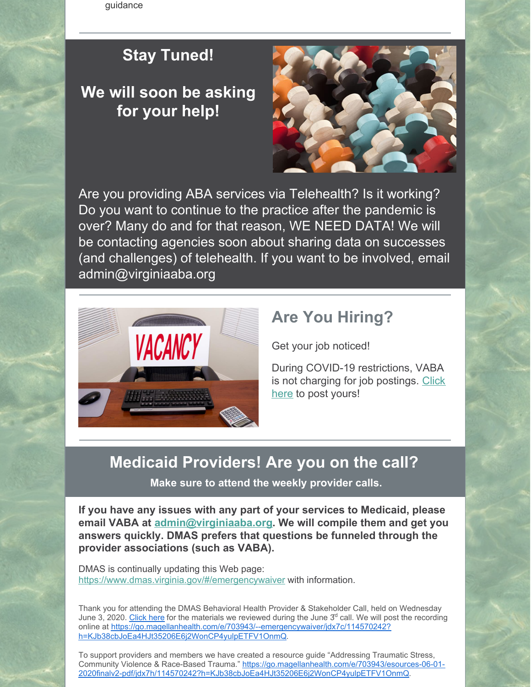guidance

### **Stay Tuned!**

## **We will soon be asking for your help!**



Are you providing ABA services via Telehealth? Is it working? Do you want to continue to the practice after the pandemic is over? Many do and for that reason, WE NEED DATA! We will be contacting agencies soon about sharing data on successes (and challenges) of telehealth. If you want to be involved, email admin@virginiaaba.org



### **Are You Hiring?**

Get your job noticed!

During COVID-19 restrictions, VABA is not charging for job [postings.](https://www.virginiaaba.org/product/post-a-job/) Click here to post yours!

#### **Medicaid Providers! Are you on the call?**

**Make sure to attend the weekly provider calls.**

**If you have any issues with any part of your services to Medicaid, please email VABA at [admin@virginiaaba.org](mailto:admin@virginiaaba.org). We will compile them and get you answers quickly. DMAS prefers that questions be funneled through the provider associations (such as VABA).**

DMAS is continually updating this Web page: <https://www.dmas.virginia.gov/#/emergencywaiver> with information.

Thank you for attending the DMAS Behavioral Health Provider & Stakeholder Call, held on Wednesday June 3, 2020. [Click](https://go.magellanhealth.com/e/703943/lth-providers-stakeholders-pdf/jdx77/114570242?h=KJb38cbJoEa4HJt35206E6j2WonCP4yulpETFV1OnmQ) here for the materials we reviewed during the June 3<sup>d</sup> call. We will post the recording online at [https://go.magellanhealth.com/e/703943/--emergencywaiver/jdx7c/114570242?](https://go.magellanhealth.com/e/703943/-MIALDrrxoszJEOYXjY2Ct6jbhXCdQ/jdx79/114570242?h=KJb38cbJoEa4HJt35206E6j2WonCP4yulpETFV1OnmQ) h=KJb38cbJoEa4HJt35206E6j2WonCP4yulpETFV1OnmQ.

To support providers and members we have created a resource guide "Addressing Traumatic Stress, Community Violence & Race-Based Trauma." https://go.magellanhealth.com/e/703943/esources-06-01- [2020finalv2-pdf/jdx7h/114570242?h=KJb38cbJoEa4HJt35206E6j2WonCP4yulpETFV1OnmQ.](https://go.magellanhealth.com/e/703943/-MIALDrrxoszJEOYXjY2Ct5TLFbpuw/jdx7f/114570242?h=KJb38cbJoEa4HJt35206E6j2WonCP4yulpETFV1OnmQ)